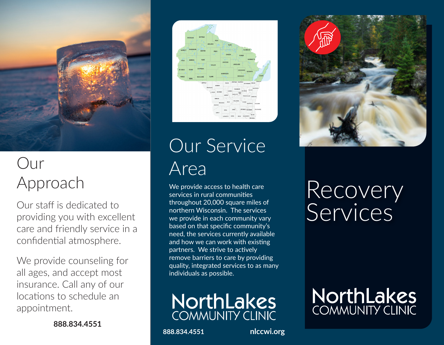

## Our Approach

Our staff is dedicated to providing you with excellent care and friendly service in a confidential atmosphere.

We provide counseling for all ages, and accept most insurance. Call any of our locations to schedule an appointment.

**888.834.4551**



Our Service Area

We provide access to health care services in rural communities throughout 20,000 square miles of northern Wisconsin. The services we provide in each community vary based on that specific community's need, the services currently available and how we can work with existing partners. We strive to actively remove barriers to care by providing quality, integrated services to as many individuals as possible.



**888.834.4551 nlccwi.org**



## Recovery Services